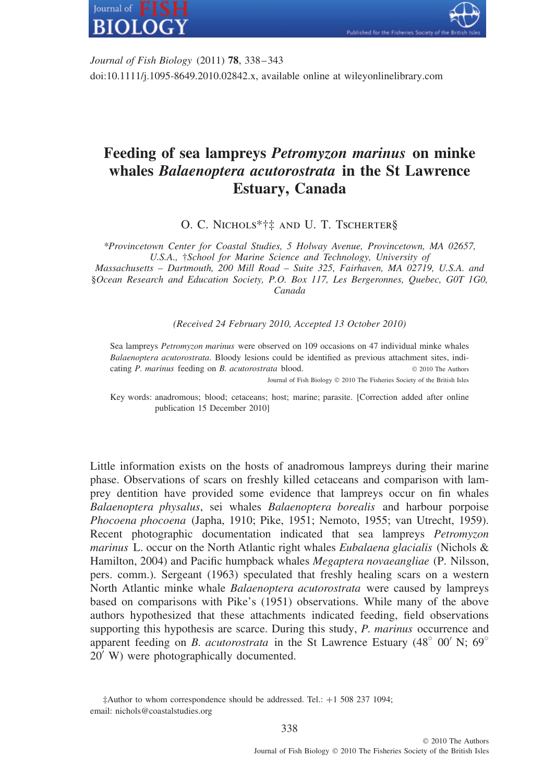

*Journal of Fish Biology* (2011) **78**, 338–343 doi:10.1111/j.1095-8649.2010.02842.x, available online at wileyonlinelibrary.com

## **Feeding of sea lampreys** *Petromyzon marinus* **on minke whales** *Balaenoptera acutorostrata* **in the St Lawrence Estuary, Canada**

O. C. Nichols\*†‡ and U. T. Tscherter§

*\*Provincetown Center for Coastal Studies, 5 Holway Avenue, Provincetown, MA 02657, U.S.A.,* †*School for Marine Science and Technology, University of*

*Massachusetts – Dartmouth, 200 Mill Road – Suite 325, Fairhaven, MA 02719, U.S.A. and* §*Ocean Research and Education Society, P.O. Box 117, Les Bergeronnes, Quebec, G0T 1G0, Canada*

*(Received 24 February 2010, Accepted 13 October 2010)*

Sea lampreys *Petromyzon marinus* were observed on 109 occasions on 47 individual minke whales *Balaenoptera acutorostrata*. Bloody lesions could be identified as previous attachment sites, indicating *P. marinus* feeding on *B. acutorostrata* blood. © 2010 The Authors

Journal of Fish Biology © 2010 The Fisheries Society of the British Isles

Key words: anadromous; blood; cetaceans; host; marine; parasite. [Correction added after online publication 15 December 2010]

Little information exists on the hosts of anadromous lampreys during their marine phase. Observations of scars on freshly killed cetaceans and comparison with lamprey dentition have provided some evidence that lampreys occur on fin whales *Balaenoptera physalus*, sei whales *Balaenoptera borealis* and harbour porpoise *Phocoena phocoena* (Japha, 1910; Pike, 1951; Nemoto, 1955; van Utrecht, 1959). Recent photographic documentation indicated that sea lampreys *Petromyzon marinus* L. occur on the North Atlantic right whales *Eubalaena glacialis* (Nichols & Hamilton, 2004) and Pacific humpback whales *Megaptera novaeangliae* (P. Nilsson, pers. comm.). Sergeant (1963) speculated that freshly healing scars on a western North Atlantic minke whale *Balaenoptera acutorostrata* were caused by lampreys based on comparisons with Pike's (1951) observations. While many of the above authors hypothesized that these attachments indicated feeding, field observations supporting this hypothesis are scarce. During this study, *P. marinus* occurrence and apparent feeding on *B. acutorostrata* in the St Lawrence Estuary (48<sup>°</sup> 00′ N; 69<sup>°</sup> 20 W) were photographically documented.

<sup>‡</sup>Author to whom correspondence should be addressed. Tel.: +1 508 237 1094; email: nichols@coastalstudies.org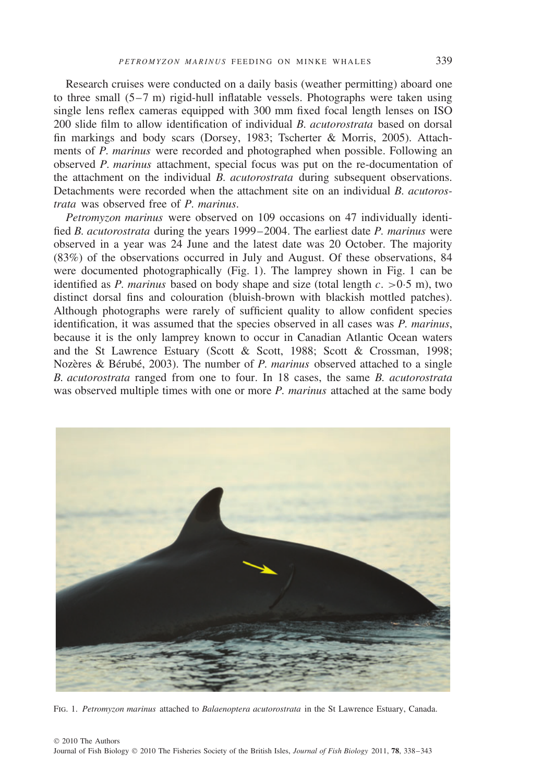Research cruises were conducted on a daily basis (weather permitting) aboard one to three small (5–7 m) rigid-hull inflatable vessels. Photographs were taken using single lens reflex cameras equipped with 300 mm fixed focal length lenses on ISO 200 slide film to allow identification of individual *B. acutorostrata* based on dorsal fin markings and body scars (Dorsey, 1983; Tscherter & Morris, 2005). Attachments of *P. marinus* were recorded and photographed when possible. Following an observed *P. marinus* attachment, special focus was put on the re-documentation of the attachment on the individual *B. acutorostrata* during subsequent observations. Detachments were recorded when the attachment site on an individual *B. acutorostrata* was observed free of *P. marinus*.

*Petromyzon marinus* were observed on 109 occasions on 47 individually identified *B. acutorostrata* during the years 1999–2004. The earliest date *P. marinus* were observed in a year was 24 June and the latest date was 20 October. The majority (83%) of the observations occurred in July and August. Of these observations, 84 were documented photographically (Fig. 1). The lamprey shown in Fig. 1 can be identified as *P. marinus* based on body shape and size (total length *c. >*0·5 m), two distinct dorsal fins and colouration (bluish-brown with blackish mottled patches). Although photographs were rarely of sufficient quality to allow confident species identification, it was assumed that the species observed in all cases was *P. marinus*, because it is the only lamprey known to occur in Canadian Atlantic Ocean waters and the St Lawrence Estuary (Scott & Scott, 1988; Scott & Crossman, 1998; Nozères & Bérubé, 2003). The number of *P. marinus* observed attached to a single *B. acutorostrata* ranged from one to four. In 18 cases, the same *B. acutorostrata* was observed multiple times with one or more *P. marinus* attached at the same body



Fig. 1. *Petromyzon marinus* attached to *Balaenoptera acutorostrata* in the St Lawrence Estuary, Canada.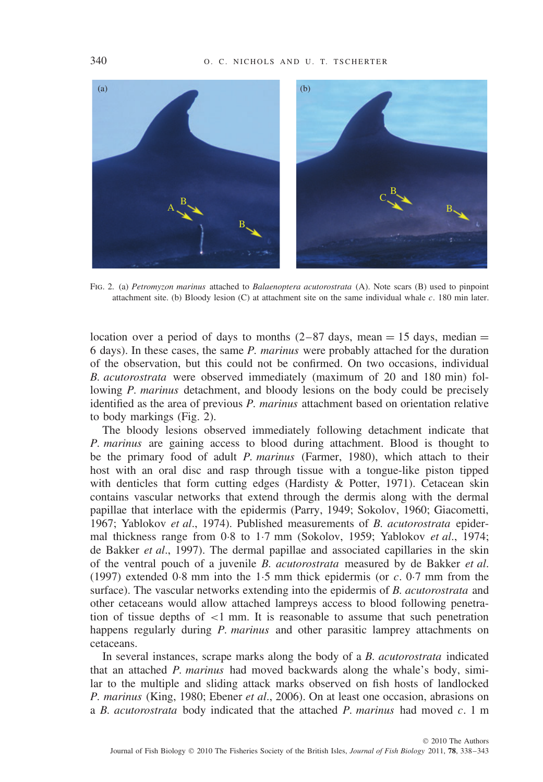

Fig. 2. (a) *Petromyzon marinus* attached to *Balaenoptera acutorostrata* (A). Note scars (B) used to pinpoint attachment site. (b) Bloody lesion (C) at attachment site on the same individual whale *c.* 180 min later.

location over a period of days to months  $(2-87 \text{ days}, \text{mean} = 15 \text{ days}, \text{median} =$ 6 days). In these cases, the same *P. marinus* were probably attached for the duration of the observation, but this could not be confirmed. On two occasions, individual *B. acutorostrata* were observed immediately (maximum of 20 and 180 min) following *P. marinus* detachment, and bloody lesions on the body could be precisely identified as the area of previous *P. marinus* attachment based on orientation relative to body markings (Fig. 2).

The bloody lesions observed immediately following detachment indicate that *P. marinus* are gaining access to blood during attachment. Blood is thought to be the primary food of adult *P. marinus* (Farmer, 1980), which attach to their host with an oral disc and rasp through tissue with a tongue-like piston tipped with denticles that form cutting edges (Hardisty & Potter, 1971). Cetacean skin contains vascular networks that extend through the dermis along with the dermal papillae that interlace with the epidermis (Parry, 1949; Sokolov, 1960; Giacometti, 1967; Yablokov *et al*., 1974). Published measurements of *B. acutorostrata* epidermal thickness range from 0·8 to 1·7 mm (Sokolov, 1959; Yablokov *et al*., 1974; de Bakker *et al*., 1997). The dermal papillae and associated capillaries in the skin of the ventral pouch of a juvenile *B. acutorostrata* measured by de Bakker *et al*. (1997) extended 0·8 mm into the 1·5 mm thick epidermis (or *c.* 0·7 mm from the surface). The vascular networks extending into the epidermis of *B. acutorostrata* and other cetaceans would allow attached lampreys access to blood following penetration of tissue depths of *<*1 mm. It is reasonable to assume that such penetration happens regularly during *P. marinus* and other parasitic lamprey attachments on cetaceans.

In several instances, scrape marks along the body of a *B. acutorostrata* indicated that an attached *P. marinus* had moved backwards along the whale's body, similar to the multiple and sliding attack marks observed on fish hosts of landlocked *P. marinus* (King, 1980; Ebener *et al*., 2006). On at least one occasion, abrasions on a *B. acutorostrata* body indicated that the attached *P. marinus* had moved *c.* 1 m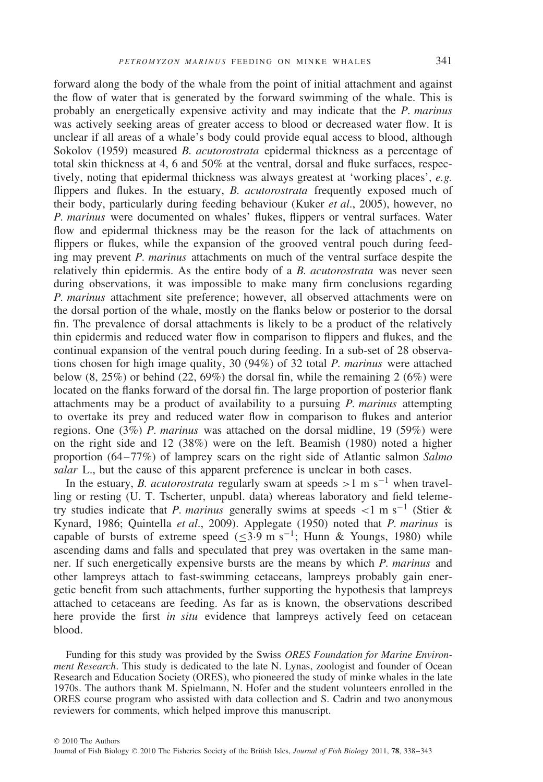forward along the body of the whale from the point of initial attachment and against the flow of water that is generated by the forward swimming of the whale. This is probably an energetically expensive activity and may indicate that the *P. marinus* was actively seeking areas of greater access to blood or decreased water flow. It is unclear if all areas of a whale's body could provide equal access to blood, although Sokolov (1959) measured *B. acutorostrata* epidermal thickness as a percentage of total skin thickness at 4, 6 and 50% at the ventral, dorsal and fluke surfaces, respectively, noting that epidermal thickness was always greatest at 'working places', *e.g.* flippers and flukes. In the estuary, *B. acutorostrata* frequently exposed much of their body, particularly during feeding behaviour (Kuker *et al*., 2005), however, no *P. marinus* were documented on whales' flukes, flippers or ventral surfaces. Water flow and epidermal thickness may be the reason for the lack of attachments on flippers or flukes, while the expansion of the grooved ventral pouch during feeding may prevent *P. marinus* attachments on much of the ventral surface despite the relatively thin epidermis. As the entire body of a *B. acutorostrata* was never seen during observations, it was impossible to make many firm conclusions regarding *P. marinus* attachment site preference; however, all observed attachments were on the dorsal portion of the whale, mostly on the flanks below or posterior to the dorsal fin. The prevalence of dorsal attachments is likely to be a product of the relatively thin epidermis and reduced water flow in comparison to flippers and flukes, and the continual expansion of the ventral pouch during feeding. In a sub-set of 28 observations chosen for high image quality, 30 (94%) of 32 total *P. marinus* were attached below  $(8, 25\%)$  or behind  $(22, 69\%)$  the dorsal fin, while the remaining 2 (6%) were located on the flanks forward of the dorsal fin. The large proportion of posterior flank attachments may be a product of availability to a pursuing *P. marinus* attempting to overtake its prey and reduced water flow in comparison to flukes and anterior regions. One (3%) *P. marinus* was attached on the dorsal midline, 19 (59%) were on the right side and 12 (38%) were on the left. Beamish (1980) noted a higher proportion (64–77%) of lamprey scars on the right side of Atlantic salmon *Salmo salar* L., but the cause of this apparent preference is unclear in both cases.

In the estuary, *B. acutorostrata* regularly swam at speeds  $>1$  m s<sup>-1</sup> when travelling or resting (U. T. Tscherter, unpubl. data) whereas laboratory and field telemetry studies indicate that *P. marinus* generally swims at speeds *<*1ms−<sup>1</sup> (Stier & Kynard, 1986; Quintella *et al*., 2009). Applegate (1950) noted that *P. marinus* is capable of bursts of extreme speed ( $\leq$ 3.9 m s<sup>-1</sup>; Hunn & Youngs, 1980) while ascending dams and falls and speculated that prey was overtaken in the same manner. If such energetically expensive bursts are the means by which *P. marinus* and other lampreys attach to fast-swimming cetaceans, lampreys probably gain energetic benefit from such attachments, further supporting the hypothesis that lampreys attached to cetaceans are feeding. As far as is known, the observations described here provide the first *in situ* evidence that lampreys actively feed on cetacean blood.

Funding for this study was provided by the Swiss *ORES Foundation for Marine Environment Research*. This study is dedicated to the late N. Lynas, zoologist and founder of Ocean Research and Education Society (ORES), who pioneered the study of minke whales in the late 1970s. The authors thank M. Spielmann, N. Hofer and the student volunteers enrolled in the ORES course program who assisted with data collection and S. Cadrin and two anonymous reviewers for comments, which helped improve this manuscript.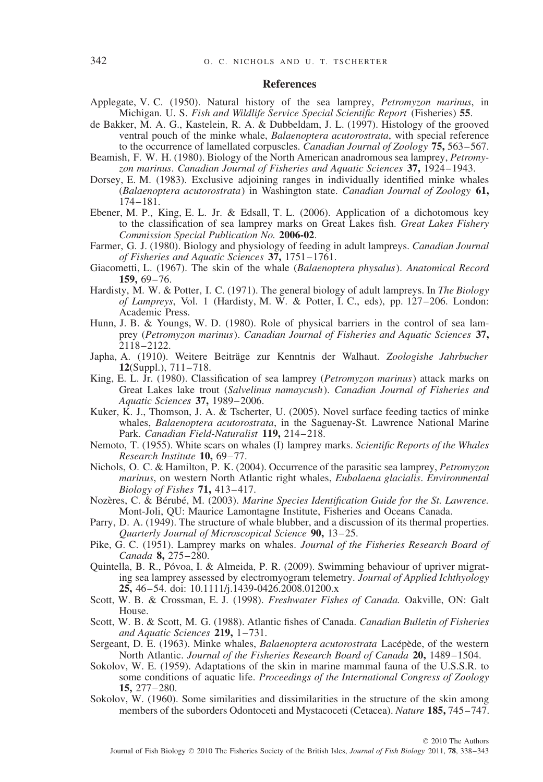## **References**

- Applegate, V. C. (1950). Natural history of the sea lamprey, *Petromyzon marinus*, in Michigan. U. S. *Fish and Wildlife Service Special Scientific Report* (Fisheries) **55**.
- de Bakker, M. A. G., Kastelein, R. A. & Dubbeldam, J. L. (1997). Histology of the grooved ventral pouch of the minke whale, *Balaenoptera acutorostrata*, with special reference to the occurrence of lamellated corpuscles. *Canadian Journal of Zoology* **75,** 563–567.
- Beamish, F. W. H. (1980). Biology of the North American anadromous sea lamprey, *Petromyzon marinus*. *Canadian Journal of Fisheries and Aquatic Sciences* **37,** 1924–1943.
- Dorsey, E. M. (1983). Exclusive adjoining ranges in individually identified minke whales (*Balaenoptera acutorostrata*) in Washington state. *Canadian Journal of Zoology* **61,** 174–181.
- Ebener, M. P., King, E. L. Jr. & Edsall, T. L. (2006). Application of a dichotomous key to the classification of sea lamprey marks on Great Lakes fish. *Great Lakes Fishery Commission Special Publication No.* **2006-02**.
- Farmer, G. J. (1980). Biology and physiology of feeding in adult lampreys. *Canadian Journal of Fisheries and Aquatic Sciences* **37,** 1751–1761.
- Giacometti, L. (1967). The skin of the whale (*Balaenoptera physalus*). *Anatomical Record* **159,** 69–76.
- Hardisty, M. W. & Potter, I. C. (1971). The general biology of adult lampreys. In *The Biology of Lampreys*, Vol. 1 (Hardisty, M. W. & Potter, I. C., eds), pp. 127–206. London: Academic Press.
- Hunn, J. B. & Youngs, W. D. (1980). Role of physical barriers in the control of sea lamprey (*Petromyzon marinus*). *Canadian Journal of Fisheries and Aquatic Sciences* **37,** 2118–2122.
- Japha, A. (1910). Weitere Beitrage zur Kenntnis der Walhaut. ¨ *Zoologishe Jahrbucher* **12**(Suppl.), 711–718.
- King, E. L. Jr. (1980). Classification of sea lamprey (*Petromyzon marinus*) attack marks on Great Lakes lake trout (*Salvelinus namaycush*). *Canadian Journal of Fisheries and Aquatic Sciences* **37,** 1989–2006.
- Kuker, K. J., Thomson, J. A. & Tscherter, U. (2005). Novel surface feeding tactics of minke whales, *Balaenoptera acutorostrata*, in the Saguenay-St. Lawrence National Marine Park. *Canadian Field-Naturalist* **119,** 214–218.
- Nemoto, T. (1955). White scars on whales (I) lamprey marks. *Scientific Reports of the Whales Research Institute* **10,** 69–77.
- Nichols, O. C. & Hamilton, P. K. (2004). Occurrence of the parasitic sea lamprey, *Petromyzon marinus*, on western North Atlantic right whales, *Eubalaena glacialis*. *Environmental Biology of Fishes* **71,** 413–417.
- Nozères, C. & Bérubé, M. (2003). Marine Species Identification Guide for the St. Lawrence. Mont-Joli, QU: Maurice Lamontagne Institute, Fisheries and Oceans Canada.
- Parry, D. A. (1949). The structure of whale blubber, and a discussion of its thermal properties. *Quarterly Journal of Microscopical Science* **90,** 13–25.
- Pike, G. C. (1951). Lamprey marks on whales. *Journal of the Fisheries Research Board of Canada* **8,** 275–280.
- Quintella, B. R., Póvoa, I. & Almeida, P. R. (2009). Swimming behaviour of upriver migrating sea lamprey assessed by electromyogram telemetry. *Journal of Applied Ichthyology* **25,** 46–54. doi: 10.1111/j.1439-0426.2008.01200.x
- Scott, W. B. & Crossman, E. J. (1998). *Freshwater Fishes of Canada.* Oakville, ON: Galt House.
- Scott, W. B. & Scott, M. G. (1988). Atlantic fishes of Canada. *Canadian Bulletin of Fisheries and Aquatic Sciences* **219,** 1–731.
- Sergeant, D. E. (1963). Minke whales, *Balaenoptera acutorostrata* Lacépède, of the western North Atlantic. *Journal of the Fisheries Research Board of Canada* **20,** 1489–1504.
- Sokolov, W. E. (1959). Adaptations of the skin in marine mammal fauna of the U.S.S.R. to some conditions of aquatic life. *Proceedings of the International Congress of Zoology* **15,** 277–280.
- Sokolov, W. (1960). Some similarities and dissimilarities in the structure of the skin among members of the suborders Odontoceti and Mystacoceti (Cetacea). *Nature* **185,** 745–747.